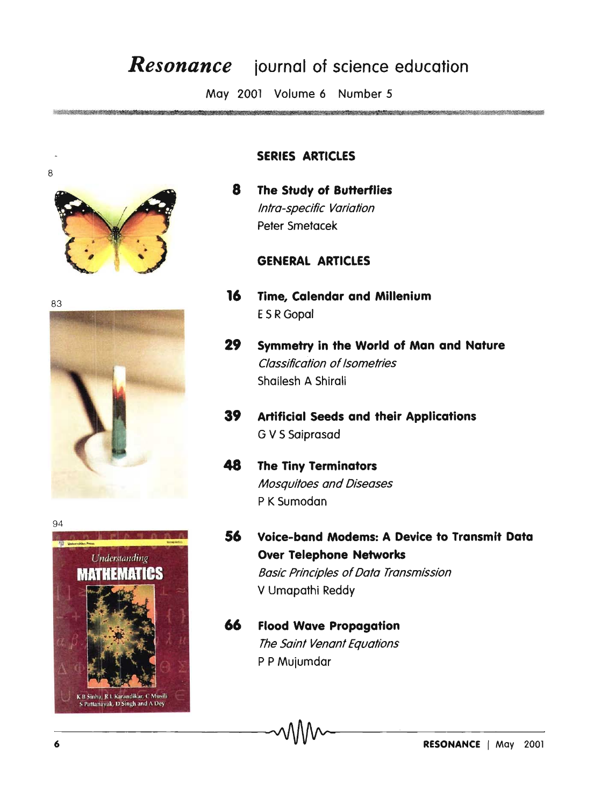## *Resonance* **iournal of science education**

May 2001 Volume 6 Number 5







#### **SERIES ARTICLES**

**8 The Study of Butterflies**  Intra-specific Variation Peter Smetacek

#### **GENERAL ARTICLES**

- <sup>83</sup>**16 Time, Calendar and Millenium**  E S R Gopal
	- **29 Symmetry in the World of Man and Nature**  Classification of Isometries Shailesh A Shirali
	- **39 Artificial Seeds and their Applications**  G V S Saiprasad
	- **48 The Tiny Terminators**  Mosquitoes and Diseases P K Sumodan
	- **56 Voice-band Modems: A Device to Transmit Data Over Telephone Networks**  Basic Principles of Data Transmission V Umapathi Reddy

### **66 Flood Wave Propagation**  The Saint Venant Equations P P Mujumdar